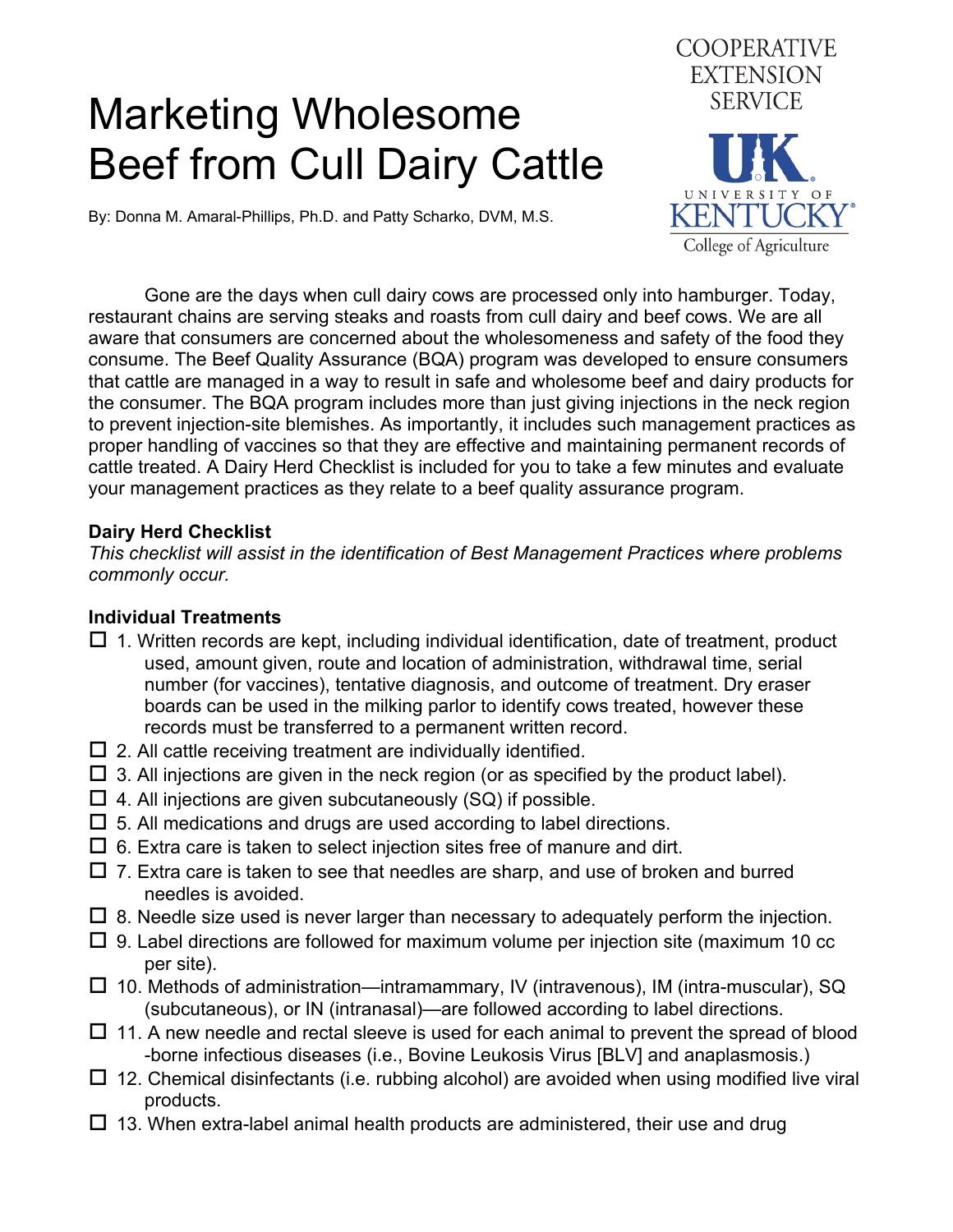# Marketing Wholesome Beef from Cull Dairy Cattle



By: Donna M. Amaral-Phillips, Ph.D. and Patty Scharko, DVM, M.S.

 Gone are the days when cull dairy cows are processed only into hamburger. Today, restaurant chains are serving steaks and roasts from cull dairy and beef cows. We are all aware that consumers are concerned about the wholesomeness and safety of the food they consume. The Beef Quality Assurance (BQA) program was developed to ensure consumers that cattle are managed in a way to result in safe and wholesome beef and dairy products for the consumer. The BQA program includes more than just giving injections in the neck region to prevent injection-site blemishes. As importantly, it includes such management practices as proper handling of vaccines so that they are effective and maintaining permanent records of cattle treated. A Dairy Herd Checklist is included for you to take a few minutes and evaluate your management practices as they relate to a beef quality assurance program.

### **Dairy Herd Checklist**

*This checklist will assist in the identification of Best Management Practices where problems commonly occur.* 

#### **Individual Treatments**

- $\Box$  1. Written records are kept, including individual identification, date of treatment, product used, amount given, route and location of administration, withdrawal time, serial number (for vaccines), tentative diagnosis, and outcome of treatment. Dry eraser boards can be used in the milking parlor to identify cows treated, however these records must be transferred to a permanent written record.
- $\square$  2. All cattle receiving treatment are individually identified.
- $\Box$  3. All injections are given in the neck region (or as specified by the product label).
- $\Box$  4. All injections are given subcutaneously (SQ) if possible.
- $\Box$  5. All medications and drugs are used according to label directions.
- $\Box$  6. Extra care is taken to select injection sites free of manure and dirt.
- $\Box$  7. Extra care is taken to see that needles are sharp, and use of broken and burred needles is avoided.
- $\Box$  8. Needle size used is never larger than necessary to adequately perform the injection.
- $\Box$  9. Label directions are followed for maximum volume per injection site (maximum 10 cc per site).
- $\Box$  10. Methods of administration—intramammary, IV (intravenous), IM (intra-muscular), SQ (subcutaneous), or IN (intranasal)—are followed according to label directions.
- $\Box$  11. A new needle and rectal sleeve is used for each animal to prevent the spread of blood -borne infectious diseases (i.e., Bovine Leukosis Virus [BLV] and anaplasmosis.)
- $\Box$  12. Chemical disinfectants (i.e. rubbing alcohol) are avoided when using modified live viral products.
- $\Box$  13. When extra-label animal health products are administered, their use and drug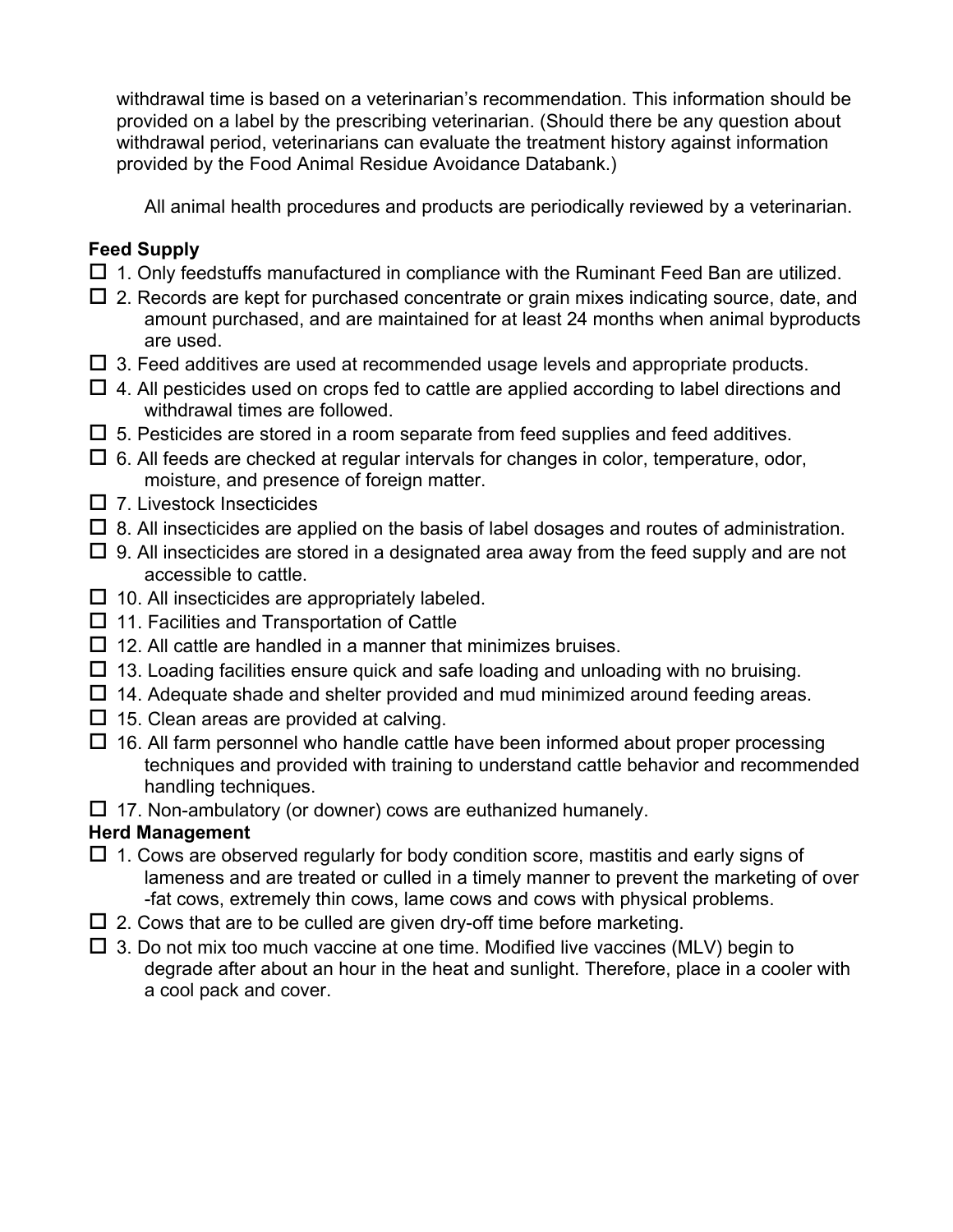withdrawal time is based on a veterinarian's recommendation. This information should be provided on a label by the prescribing veterinarian. (Should there be any question about withdrawal period, veterinarians can evaluate the treatment history against information provided by the Food Animal Residue Avoidance Databank.)

All animal health procedures and products are periodically reviewed by a veterinarian.

### **Feed Supply**

- $\Box$  1. Only feedstuffs manufactured in compliance with the Ruminant Feed Ban are utilized.
- $\Box$  2. Records are kept for purchased concentrate or grain mixes indicating source, date, and amount purchased, and are maintained for at least 24 months when animal byproducts are used.
- $\Box$  3. Feed additives are used at recommended usage levels and appropriate products.
- $\Box$  4. All pesticides used on crops fed to cattle are applied according to label directions and withdrawal times are followed.
- $\Box$  5. Pesticides are stored in a room separate from feed supplies and feed additives.
- $\Box$  6. All feeds are checked at regular intervals for changes in color, temperature, odor, moisture, and presence of foreign matter.
- $\square$  7. Livestock Insecticides
- $\Box$  8. All insecticides are applied on the basis of label dosages and routes of administration.
- $\Box$  9. All insecticides are stored in a designated area away from the feed supply and are not accessible to cattle.
- $\square$  10. All insecticides are appropriately labeled.
- $\Box$  11. Facilities and Transportation of Cattle
- $\Box$  12. All cattle are handled in a manner that minimizes bruises.
- $\Box$  13. Loading facilities ensure quick and safe loading and unloading with no bruising.
- $\Box$  14. Adequate shade and shelter provided and mud minimized around feeding areas.
- $\Box$  15. Clean areas are provided at calving.
- $\Box$  16. All farm personnel who handle cattle have been informed about proper processing techniques and provided with training to understand cattle behavior and recommended handling techniques.
- $\Box$  17. Non-ambulatory (or downer) cows are euthanized humanely.

## **Herd Management**

- $\Box$  1. Cows are observed regularly for body condition score, mastitis and early signs of lameness and are treated or culled in a timely manner to prevent the marketing of over -fat cows, extremely thin cows, lame cows and cows with physical problems.
- $\Box$  2. Cows that are to be culled are given dry-off time before marketing.
- $\Box$  3. Do not mix too much vaccine at one time. Modified live vaccines (MLV) begin to degrade after about an hour in the heat and sunlight. Therefore, place in a cooler with a cool pack and cover.